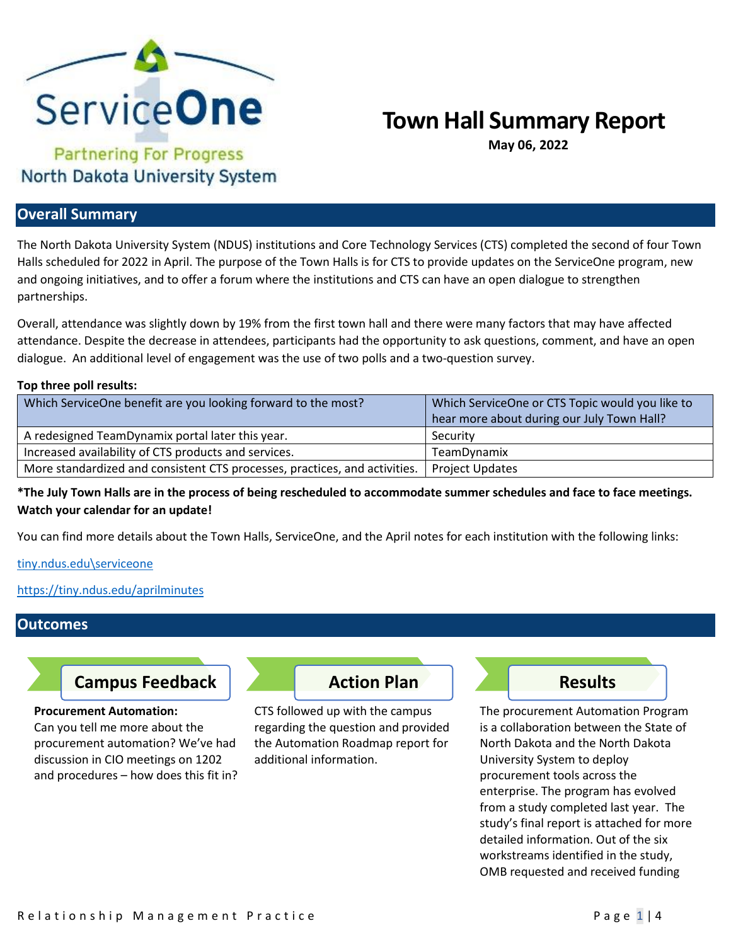

# **Town Hall Summary Report**

**May 06, 2022**

# North Dakota University System

## **Overall Summary**

The North Dakota University System (NDUS) institutions and Core Technology Services (CTS) completed the second of four Town Halls scheduled for 2022 in April. The purpose of the Town Halls is for CTS to provide updates on the ServiceOne program, new and ongoing initiatives, and to offer a forum where the institutions and CTS can have an open dialogue to strengthen partnerships.

Overall, attendance was slightly down by 19% from the first town hall and there were many factors that may have affected attendance. Despite the decrease in attendees, participants had the opportunity to ask questions, comment, and have an open dialogue. An additional level of engagement was the use of two polls and a two-question survey.

#### **Top three poll results:**

| Which ServiceOne benefit are you looking forward to the most?              | Which ServiceOne or CTS Topic would you like to |
|----------------------------------------------------------------------------|-------------------------------------------------|
|                                                                            | hear more about during our July Town Hall?      |
| A redesigned TeamDynamix portal later this year.                           | Security                                        |
| Increased availability of CTS products and services.                       | <b>TeamDynamix</b>                              |
| More standardized and consistent CTS processes, practices, and activities. | Project Updates                                 |

**\*The July Town Halls are in the process of being rescheduled to accommodate summer schedules and face to face meetings. Watch your calendar for an update!** 

You can find more details about the Town Halls, ServiceOne, and the April notes for each institution with the following links:

[tiny.ndus.edu\serviceone](https://ndusbpos.sharepoint.com/sites/CTSServiceManagementMaturityProgram)

<https://tiny.ndus.edu/aprilminutes>

### **Outcomes**

# **Campus Feedback Action Plan Action Plan Results**

**Procurement Automation:**

Can you tell me more about the procurement automation? We've had discussion in CIO meetings on 1202 and procedures – how does this fit in?



CTS followed up with the campus regarding the question and provided the Automation Roadmap report for additional information.



The procurement Automation Program is a collaboration between the State of North Dakota and the North Dakota University System to deploy procurement tools across the enterprise. The program has evolved from a study completed last year. The study's final report is attached for more detailed information. Out of the six workstreams identified in the study, OMB requested and received funding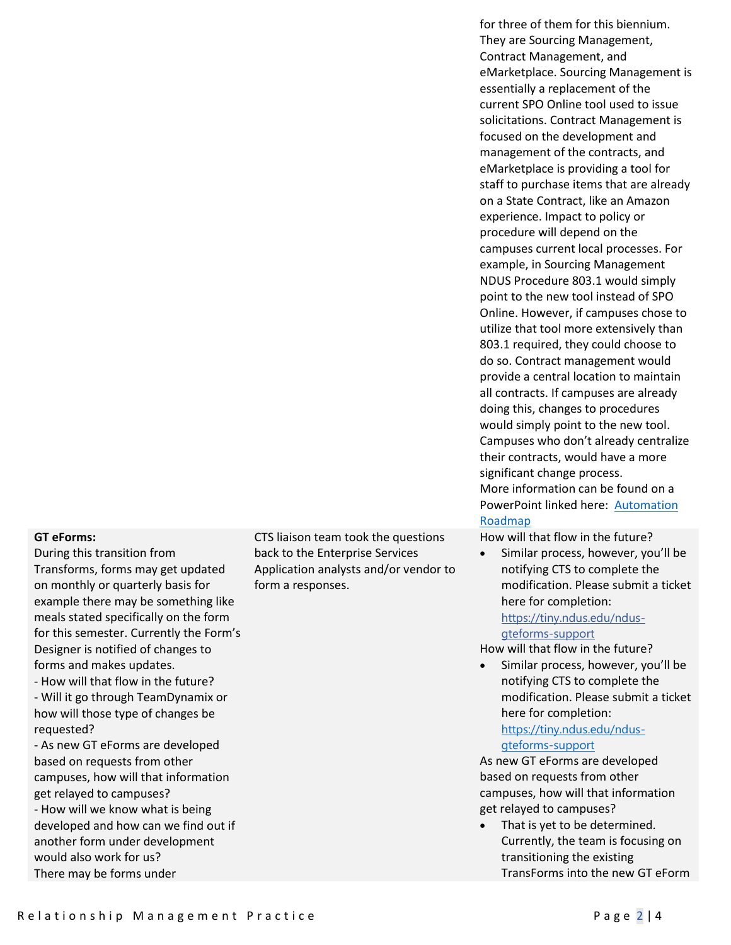|                                                                                            | for three of them for this biennium.<br>They are Sourcing Management,<br>Contract Management, and<br>eMarketplace. Sourcing Management is<br>essentially a replacement of the<br>current SPO Online tool used to issue<br>solicitations. Contract Management is<br>focused on the development and<br>management of the contracts, and<br>eMarketplace is providing a tool for<br>staff to purchase items that are already<br>on a State Contract, like an Amazon<br>experience. Impact to policy or<br>procedure will depend on the<br>campuses current local processes. For<br>example, in Sourcing Management<br>NDUS Procedure 803.1 would simply<br>point to the new tool instead of SPO<br>Online. However, if campuses chose to<br>utilize that tool more extensively than<br>803.1 required, they could choose to<br>do so. Contract management would<br>provide a central location to maintain<br>all contracts. If campuses are already<br>doing this, changes to procedures<br>would simply point to the new tool.<br>Campuses who don't already centralize<br>their contracts, would have a more<br>significant change process.<br>More information can be found on a<br>PowerPoint linked here: Automation<br>Roadmap |
|--------------------------------------------------------------------------------------------|-----------------------------------------------------------------------------------------------------------------------------------------------------------------------------------------------------------------------------------------------------------------------------------------------------------------------------------------------------------------------------------------------------------------------------------------------------------------------------------------------------------------------------------------------------------------------------------------------------------------------------------------------------------------------------------------------------------------------------------------------------------------------------------------------------------------------------------------------------------------------------------------------------------------------------------------------------------------------------------------------------------------------------------------------------------------------------------------------------------------------------------------------------------------------------------------------------------------------------------|
| eam took the questions<br><b>Interprise Services</b><br>analysts and/or vendor to<br>nses. | How will that flow in the future?<br>Similar process, however, you'll be<br>notifying CTS to complete the<br>modification. Please submit a ticket<br>here for completion:<br>https://tiny.ndus.edu/ndus-<br>dteforms-sunnort                                                                                                                                                                                                                                                                                                                                                                                                                                                                                                                                                                                                                                                                                                                                                                                                                                                                                                                                                                                                      |

#### **GT eForms:**

During this transition from Transforms, forms may get updated on monthly or quarterly basis for example there may be something like meals stated specifically on the form for this semester. Currently the Form's Designer is notified of changes to forms and makes updates.

- How will that flow in the future? - Will it go through TeamDynamix or how will those type of changes be requested?

- As new GT eForms are developed based on requests from other campuses, how will that information get relayed to campuses? - How will we know what is being developed and how can we find out if another form under development would also work for us? There may be forms under

CTS liaison te back to the E Application a form a respo

## [gteforms-support](https://tiny.ndus.edu/ndus-gteforms-support)

How will that flow in the future?

• Similar process, however, you'll be notifying CTS to complete the modification. Please submit a ticket here for completion:

#### [https://tiny.ndus.edu/ndus](https://tiny.ndus.edu/ndus-gteforms-support)[gteforms-support](https://tiny.ndus.edu/ndus-gteforms-support)

As new GT eForms are developed based on requests from other campuses, how will that information get relayed to campuses?

• That is yet to be determined. Currently, the team is focusing on transitioning the existing TransForms into the new GT eForm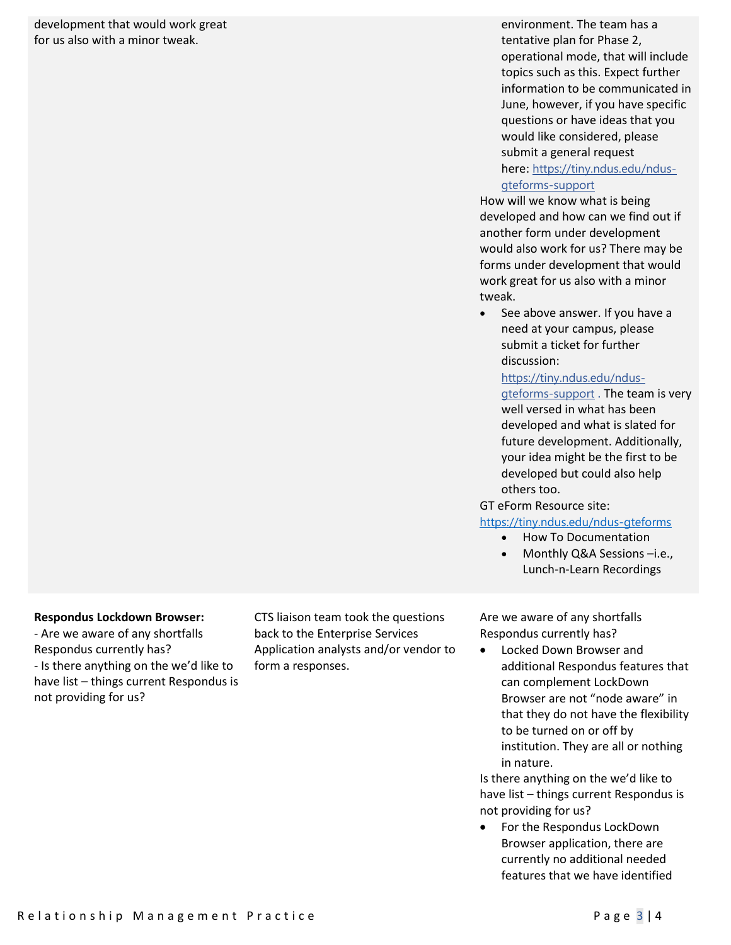development that would work great for us also with a minor tweak.

environment. The team has a tentative plan for Phase 2, operational mode, that will include topics such as this. Expect further information to be communicated in June, however, if you have specific questions or have ideas that you would like considered, please submit a general request here: [https://tiny.ndus.edu/ndus-](https://tiny.ndus.edu/ndus-gteforms-support)

#### [gteforms-support](https://tiny.ndus.edu/ndus-gteforms-support)

How will we know what is being developed and how can we find out if another form under development would also work for us? There may be forms under development that would work great for us also with a minor tweak.

See above answer. If you have a need at your campus, please submit a ticket for further discussion:

[https://tiny.ndus.edu/ndus](https://tiny.ndus.edu/ndus-gteforms-support)[gteforms-support](https://tiny.ndus.edu/ndus-gteforms-support) . The team is very well versed in what has been developed and what is slated for future development. Additionally, your idea might be the first to be developed but could also help others too.

GT eForm Resource site:

#### <https://tiny.ndus.edu/ndus-gteforms>

- How To Documentation
- Monthly Q&A Sessions -i.e., Lunch-n-Learn Recordings

#### **Respondus Lockdown Browser:**

- Are we aware of any shortfalls Respondus currently has? - Is there anything on the we'd like to have list – things current Respondus is not providing for us?

CTS liaison team took the questions back to the Enterprise Services Application analysts and/or vendor to form a responses.

Are we aware of any shortfalls Respondus currently has?

• Locked Down Browser and additional Respondus features that can complement LockDown Browser are not "node aware" in that they do not have the flexibility to be turned on or off by institution. They are all or nothing in nature.

Is there anything on the we'd like to have list – things current Respondus is not providing for us?

• For the Respondus LockDown Browser application, there are currently no additional needed features that we have identified